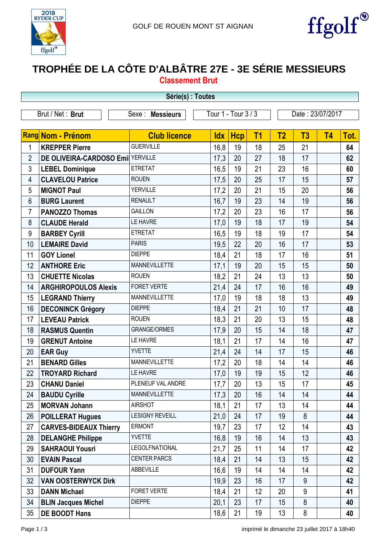



## **TROPHÉE DE LA CÔTE D'ALBÂTRE 27E - 3E SÉRIE MESSIEURS**

| <b>Classement Brut</b> |  |  |  |  |
|------------------------|--|--|--|--|
|                        |  |  |  |  |

|    | Série(s) : Toutes<br>Tour 1 - Tour 3 / 3<br>Brut / Net: Brut<br>Date: 23/07/2017<br>Sexe : Messieurs<br><b>Rang Nom - Prénom</b><br>T <sub>1</sub><br>T <sub>2</sub><br>T3<br><b>Club licence</b><br><b>Hcp</b><br><b>T4</b><br><b>Idx</b><br><b>GUERVILLE</b><br>16,8<br>19<br><b>KREPPER Pierre</b><br>25<br>21<br>1<br>18<br>DE OLIVEIRA-CARDOSO Emi YERVILLE<br>$\overline{2}$<br>17,3<br>20<br>27<br>18<br>17<br>3<br><b>ETRETAT</b><br>16,5<br>19<br>21<br>23<br>16<br><b>LEBEL Dominique</b><br><b>ROUEN</b><br><b>CLAVELOU Patrice</b><br>17,5<br>20<br>25<br>17<br>15<br>4<br><b>YERVILLE</b><br>20<br>5<br><b>MIGNOT Paul</b><br>17,2<br>21<br>15<br>20<br><b>RENAULT</b><br>19<br>14<br>19<br>6<br>16,7<br>23<br><b>BURG Laurent</b><br><b>GAILLON</b><br>20<br>23<br>17<br>7<br>17,2<br>16<br><b>PANOZZO Thomas</b><br>LE HAVRE<br>19<br>18<br>17<br>19<br>8<br>17,0<br><b>CLAUDE Herald</b> |                        |      |    |    |    |    |  |      |  |
|----|----------------------------------------------------------------------------------------------------------------------------------------------------------------------------------------------------------------------------------------------------------------------------------------------------------------------------------------------------------------------------------------------------------------------------------------------------------------------------------------------------------------------------------------------------------------------------------------------------------------------------------------------------------------------------------------------------------------------------------------------------------------------------------------------------------------------------------------------------------------------------------------------------------|------------------------|------|----|----|----|----|--|------|--|
|    |                                                                                                                                                                                                                                                                                                                                                                                                                                                                                                                                                                                                                                                                                                                                                                                                                                                                                                          |                        |      |    |    |    |    |  |      |  |
|    |                                                                                                                                                                                                                                                                                                                                                                                                                                                                                                                                                                                                                                                                                                                                                                                                                                                                                                          |                        |      |    |    |    |    |  |      |  |
|    |                                                                                                                                                                                                                                                                                                                                                                                                                                                                                                                                                                                                                                                                                                                                                                                                                                                                                                          |                        |      |    |    |    |    |  | Tot. |  |
|    |                                                                                                                                                                                                                                                                                                                                                                                                                                                                                                                                                                                                                                                                                                                                                                                                                                                                                                          |                        |      |    |    |    |    |  | 64   |  |
|    |                                                                                                                                                                                                                                                                                                                                                                                                                                                                                                                                                                                                                                                                                                                                                                                                                                                                                                          |                        |      |    |    |    |    |  | 62   |  |
|    |                                                                                                                                                                                                                                                                                                                                                                                                                                                                                                                                                                                                                                                                                                                                                                                                                                                                                                          |                        |      |    |    |    |    |  | 60   |  |
|    |                                                                                                                                                                                                                                                                                                                                                                                                                                                                                                                                                                                                                                                                                                                                                                                                                                                                                                          |                        |      |    |    |    |    |  | 57   |  |
|    |                                                                                                                                                                                                                                                                                                                                                                                                                                                                                                                                                                                                                                                                                                                                                                                                                                                                                                          |                        |      |    |    |    |    |  | 56   |  |
|    |                                                                                                                                                                                                                                                                                                                                                                                                                                                                                                                                                                                                                                                                                                                                                                                                                                                                                                          |                        |      |    |    |    |    |  | 56   |  |
|    |                                                                                                                                                                                                                                                                                                                                                                                                                                                                                                                                                                                                                                                                                                                                                                                                                                                                                                          |                        |      |    |    |    |    |  | 56   |  |
|    |                                                                                                                                                                                                                                                                                                                                                                                                                                                                                                                                                                                                                                                                                                                                                                                                                                                                                                          |                        |      |    |    |    |    |  | 54   |  |
| 9  | <b>BARBEY Cyrill</b>                                                                                                                                                                                                                                                                                                                                                                                                                                                                                                                                                                                                                                                                                                                                                                                                                                                                                     | <b>ETRETAT</b>         | 16,5 | 19 | 18 | 19 | 17 |  | 54   |  |
| 10 | <b>LEMAIRE David</b>                                                                                                                                                                                                                                                                                                                                                                                                                                                                                                                                                                                                                                                                                                                                                                                                                                                                                     | <b>PARIS</b>           | 19,5 | 22 | 20 | 16 | 17 |  | 53   |  |
| 11 | <b>GOY Lionel</b>                                                                                                                                                                                                                                                                                                                                                                                                                                                                                                                                                                                                                                                                                                                                                                                                                                                                                        | <b>DIEPPE</b>          | 18,4 | 21 | 18 | 17 | 16 |  | 51   |  |
| 12 | <b>ANTHORE Eric</b>                                                                                                                                                                                                                                                                                                                                                                                                                                                                                                                                                                                                                                                                                                                                                                                                                                                                                      | <b>MANNEVILLETTE</b>   | 17,1 | 19 | 20 | 15 | 15 |  | 50   |  |
| 13 | <b>CHUETTE Nicolas</b>                                                                                                                                                                                                                                                                                                                                                                                                                                                                                                                                                                                                                                                                                                                                                                                                                                                                                   | <b>ROUEN</b>           | 18,2 | 21 | 24 | 13 | 13 |  | 50   |  |
| 14 | <b>ARGHIROPOULOS Alexis</b>                                                                                                                                                                                                                                                                                                                                                                                                                                                                                                                                                                                                                                                                                                                                                                                                                                                                              | FORET VERTE            | 21,4 | 24 | 17 | 16 | 16 |  | 49   |  |
| 15 | <b>LEGRAND Thierry</b>                                                                                                                                                                                                                                                                                                                                                                                                                                                                                                                                                                                                                                                                                                                                                                                                                                                                                   | <b>MANNEVILLETTE</b>   | 17,0 | 19 | 18 | 18 | 13 |  | 49   |  |
| 16 | <b>DECONINCK Grégory</b>                                                                                                                                                                                                                                                                                                                                                                                                                                                                                                                                                                                                                                                                                                                                                                                                                                                                                 | <b>DIEPPE</b>          | 18,4 | 21 | 21 | 10 | 17 |  | 48   |  |
| 17 | <b>LEVEAU Patrick</b>                                                                                                                                                                                                                                                                                                                                                                                                                                                                                                                                                                                                                                                                                                                                                                                                                                                                                    | <b>ROUEN</b>           | 18,3 | 21 | 20 | 13 | 15 |  | 48   |  |
| 18 | <b>RASMUS Quentin</b>                                                                                                                                                                                                                                                                                                                                                                                                                                                                                                                                                                                                                                                                                                                                                                                                                                                                                    | <b>GRANGE/ORMES</b>    | 17,9 | 20 | 15 | 14 | 18 |  | 47   |  |
| 19 | <b>GRENUT Antoine</b>                                                                                                                                                                                                                                                                                                                                                                                                                                                                                                                                                                                                                                                                                                                                                                                                                                                                                    | LE HAVRE               | 18,1 | 21 | 17 | 14 | 16 |  | 47   |  |
| 20 | <b>EAR Guy</b>                                                                                                                                                                                                                                                                                                                                                                                                                                                                                                                                                                                                                                                                                                                                                                                                                                                                                           | <b>YVETTE</b>          | 21,4 | 24 | 14 | 17 | 15 |  | 46   |  |
| 21 | <b>BENARD Gilles</b>                                                                                                                                                                                                                                                                                                                                                                                                                                                                                                                                                                                                                                                                                                                                                                                                                                                                                     | <b>MANNEVILLETTE</b>   | 17,2 | 20 | 18 | 14 | 14 |  | 46   |  |
| 22 | <b>TROYARD Richard</b>                                                                                                                                                                                                                                                                                                                                                                                                                                                                                                                                                                                                                                                                                                                                                                                                                                                                                   | LE HAVRE               | 17,0 | 19 | 19 | 15 | 12 |  | 46   |  |
| 23 | <b>CHANU Daniel</b>                                                                                                                                                                                                                                                                                                                                                                                                                                                                                                                                                                                                                                                                                                                                                                                                                                                                                      | PLENEUF VAL ANDRE      | 17,7 | 20 | 13 | 15 | 17 |  | 45   |  |
| 24 | <b>BAUDU Cyrille</b>                                                                                                                                                                                                                                                                                                                                                                                                                                                                                                                                                                                                                                                                                                                                                                                                                                                                                     | MANNEVILLETTE          | 17,3 | 20 | 16 | 14 | 14 |  | 44   |  |
| 25 | <b>MORVAN Johann</b>                                                                                                                                                                                                                                                                                                                                                                                                                                                                                                                                                                                                                                                                                                                                                                                                                                                                                     | <b>AIRSHOT</b>         | 18,1 | 21 | 17 | 13 | 14 |  | 44   |  |
| 26 | <b>POILLERAT Hugues</b>                                                                                                                                                                                                                                                                                                                                                                                                                                                                                                                                                                                                                                                                                                                                                                                                                                                                                  | <b>LESIGNY REVEILL</b> | 21,0 | 24 | 17 | 19 | 8  |  | 44   |  |
| 27 | <b>CARVES-BIDEAUX Thierry</b>                                                                                                                                                                                                                                                                                                                                                                                                                                                                                                                                                                                                                                                                                                                                                                                                                                                                            | <b>ERMONT</b>          | 19,7 | 23 | 17 | 12 | 14 |  | 43   |  |
| 28 | <b>DELANGHE Philippe</b>                                                                                                                                                                                                                                                                                                                                                                                                                                                                                                                                                                                                                                                                                                                                                                                                                                                                                 | <b>YVETTE</b>          | 16,8 | 19 | 16 | 14 | 13 |  | 43   |  |
| 29 | <b>SAHRAOUI Yousri</b>                                                                                                                                                                                                                                                                                                                                                                                                                                                                                                                                                                                                                                                                                                                                                                                                                                                                                   | LEGOLFNATIONAL         | 21,7 | 25 | 11 | 14 | 17 |  | 42   |  |
| 30 | <b>EVAIN Pascal</b>                                                                                                                                                                                                                                                                                                                                                                                                                                                                                                                                                                                                                                                                                                                                                                                                                                                                                      | <b>CENTER PARCS</b>    | 18,4 | 21 | 14 | 13 | 15 |  | 42   |  |
| 31 | <b>DUFOUR Yann</b>                                                                                                                                                                                                                                                                                                                                                                                                                                                                                                                                                                                                                                                                                                                                                                                                                                                                                       | ABBEVILLE              | 16,6 | 19 | 14 | 14 | 14 |  | 42   |  |
| 32 | <b>VAN OOSTERWYCK Dirk</b>                                                                                                                                                                                                                                                                                                                                                                                                                                                                                                                                                                                                                                                                                                                                                                                                                                                                               |                        | 19,9 | 23 | 16 | 17 | 9  |  | 42   |  |
| 33 | <b>DANN Michael</b>                                                                                                                                                                                                                                                                                                                                                                                                                                                                                                                                                                                                                                                                                                                                                                                                                                                                                      | FORET VERTE            | 18,4 | 21 | 12 | 20 | 9  |  | 41   |  |
| 34 | <b>BLIN Jacques Michel</b>                                                                                                                                                                                                                                                                                                                                                                                                                                                                                                                                                                                                                                                                                                                                                                                                                                                                               | <b>DIEPPE</b>          | 20,1 | 23 | 17 | 15 | 8  |  | 40   |  |
| 35 | <b>DE BOODT Hans</b>                                                                                                                                                                                                                                                                                                                                                                                                                                                                                                                                                                                                                                                                                                                                                                                                                                                                                     |                        | 18,6 | 21 | 19 | 13 | 8  |  | 40   |  |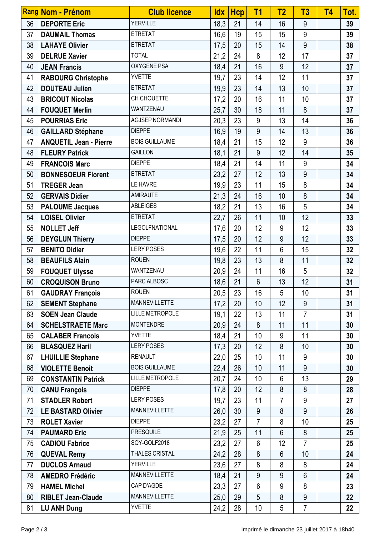|    | Rang Nom - Prénom             | <b>Club licence</b>    | <b>Idx</b> | <b>Hcp</b> | T <sub>1</sub> | T <sub>2</sub> | T3             | T <sub>4</sub> | Tot. |
|----|-------------------------------|------------------------|------------|------------|----------------|----------------|----------------|----------------|------|
| 36 | <b>DEPORTE Eric</b>           | <b>YERVILLE</b>        | 18,3       | 21         | 14             | 16             | 9              |                | 39   |
| 37 | <b>DAUMAIL Thomas</b>         | <b>ETRETAT</b>         | 16,6       | 19         | 15             | 15             | 9              |                | 39   |
| 38 | <b>LAHAYE Olivier</b>         | <b>ETRETAT</b>         | 17,5       | 20         | 15             | 14             | 9              |                | 38   |
| 39 | <b>DELRUE Xavier</b>          | <b>TOTAL</b>           | 21,2       | 24         | 8              | 12             | 17             |                | 37   |
| 40 | <b>JEAN Francis</b>           | OXYGENE PSA            | 18,4       | 21         | 16             | 9              | 12             |                | 37   |
| 41 | <b>RABOURG Christophe</b>     | <b>YVETTE</b>          | 19,7       | 23         | 14             | 12             | 11             |                | 37   |
| 42 | <b>DOUTEAU Julien</b>         | <b>ETRETAT</b>         | 19,9       | 23         | 14             | 13             | 10             |                | 37   |
| 43 | <b>BRICOUT Nicolas</b>        | CH CHOUETTE            | 17,2       | 20         | 16             | 11             | 10             |                | 37   |
| 44 | <b>FOUQUET Merlin</b>         | WANTZENAU              | 25,7       | 30         | 18             | 11             | 8              |                | 37   |
| 45 | <b>POURRIAS Eric</b>          | AGJSEP NORMANDI        | 20,3       | 23         | 9              | 13             | 14             |                | 36   |
| 46 | <b>GAILLARD Stéphane</b>      | <b>DIEPPE</b>          | 16,9       | 19         | 9              | 14             | 13             |                | 36   |
| 47 | <b>ANQUETIL Jean - Pierre</b> | <b>BOIS GUILLAUME</b>  | 18,4       | 21         | 15             | 12             | 9              |                | 36   |
| 48 | <b>FLEURY Patrick</b>         | <b>GAILLON</b>         | 18,1       | 21         | 9              | 12             | 14             |                | 35   |
| 49 | <b>FRANCOIS Marc</b>          | <b>DIEPPE</b>          | 18,4       | 21         | 14             | 11             | $9\,$          |                | 34   |
| 50 | <b>BONNESOEUR Florent</b>     | <b>ETRETAT</b>         | 23,2       | 27         | 12             | 13             | 9              |                | 34   |
| 51 | <b>TREGER Jean</b>            | LE HAVRE               | 19,9       | 23         | 11             | 15             | 8              |                | 34   |
| 52 | <b>GERVAIS Didier</b>         | <b>AMIRAUTE</b>        | 21,3       | 24         | 16             | 10             | 8              |                | 34   |
| 53 | <b>PALOUME Jacques</b>        | <b>ABLEIGES</b>        | 18,2       | 21         | 13             | 16             | 5              |                | 34   |
| 54 | <b>LOISEL Olivier</b>         | <b>ETRETAT</b>         | 22,7       | 26         | 11             | 10             | 12             |                | 33   |
| 55 | <b>NOLLET Jeff</b>            | <b>LEGOLFNATIONAL</b>  | 17,6       | 20         | 12             | 9              | 12             |                | 33   |
| 56 | <b>DEYGLUN Thierry</b>        | <b>DIEPPE</b>          | 17,5       | 20         | 12             | 9              | 12             |                | 33   |
| 57 | <b>BENITO Didier</b>          | <b>LERY POSES</b>      | 19,6       | 22         | 11             | 6              | 15             |                | 32   |
| 58 | <b>BEAUFILS Alain</b>         | <b>ROUEN</b>           | 19,8       | 23         | 13             | 8              | 11             |                | 32   |
| 59 | <b>FOUQUET Ulysse</b>         | WANTZENAU              | 20,9       | 24         | 11             | 16             | 5              |                | 32   |
| 60 | <b>CROQUISON Bruno</b>        | PARC ALBOSC            | 18,6       | 21         | 6              | 13             | 12             |                | 31   |
| 61 | <b>GAUDRAY François</b>       | <b>ROUEN</b>           | 20,5       | 23         | 16             | 5              | 10             |                | 31   |
| 62 | <b>SEMENT Stephane</b>        | <b>MANNEVILLETTE</b>   | 17,2       | 20         | 10             | 12             | 9              |                | 31   |
| 63 | <b>SOEN Jean Claude</b>       | <b>LILLE METROPOLE</b> | 19,1       | 22         | 13             | 11             | $\overline{7}$ |                | 31   |
| 64 | <b>SCHELSTRAETE Marc</b>      | <b>MONTENDRE</b>       | 20,9       | 24         | 8              | 11             | 11             |                | 30   |
| 65 | <b>CALABER Francois</b>       | <b>YVETTE</b>          | 18,4       | 21         | 10             | 9              | 11             |                | 30   |
| 66 | <b>BLASQUEZ Haril</b>         | <b>LERY POSES</b>      | 17,3       | 20         | 12             | 8              | 10             |                | 30   |
| 67 | <b>LHUILLIE Stephane</b>      | <b>RENAULT</b>         | 22,0       | 25         | 10             | 11             | 9              |                | 30   |
| 68 | <b>VIOLETTE Benoit</b>        | <b>BOIS GUILLAUME</b>  | 22,4       | 26         | 10             | 11             | 9              |                | 30   |
| 69 | <b>CONSTANTIN Patrick</b>     | <b>LILLE METROPOLE</b> | 20,7       | 24         | 10             | 6              | 13             |                | 29   |
| 70 | <b>CANU François</b>          | <b>DIEPPE</b>          | 17,8       | 20         | 12             | 8              | 8              |                | 28   |
| 71 | <b>STADLER Robert</b>         | <b>LERY POSES</b>      | 19,7       | 23         | 11             | $\overline{7}$ | 9              |                | 27   |
| 72 | <b>LE BASTARD Olivier</b>     | <b>MANNEVILLETTE</b>   | 26,0       | 30         | 9              | 8              | 9              |                | 26   |
| 73 | <b>ROLET Xavier</b>           | <b>DIEPPE</b>          | 23,2       | 27         | $\overline{7}$ | 8              | 10             |                | 25   |
| 74 | <b>PAUMARD Eric</b>           | <b>PRESQUILE</b>       | 21,9       | 25         | 11             | $6\phantom{1}$ | 8              |                | 25   |
| 75 | <b>CADIOU Fabrice</b>         | SQY-GOLF2018           | 23,2       | 27         | 6              | 12             | 7              |                | 25   |
| 76 | <b>QUEVAL Remy</b>            | THALES CRISTAL         | 24,2       | 28         | 8              | 6              | 10             |                | 24   |
| 77 | <b>DUCLOS Arnaud</b>          | <b>YERVILLE</b>        | 23,6       | 27         | 8              | 8              | 8              |                | 24   |
| 78 | <b>AMEDRO Frédéric</b>        | <b>MANNEVILLETTE</b>   | 18,4       | 21         | 9              | 9              | 6              |                | 24   |
| 79 | <b>HAMEL Michel</b>           | CAP D'AGDE             | 23,3       | 27         | 6              | 9              | 8              |                | 23   |
| 80 | <b>RIBLET Jean-Claude</b>     | <b>MANNEVILLETTE</b>   | 25,0       | 29         | 5              | 8              | 9              |                | 22   |
| 81 | <b>LU ANH Dung</b>            | <b>YVETTE</b>          | 24,2       | 28         | 10             | 5              | 7              |                | 22   |